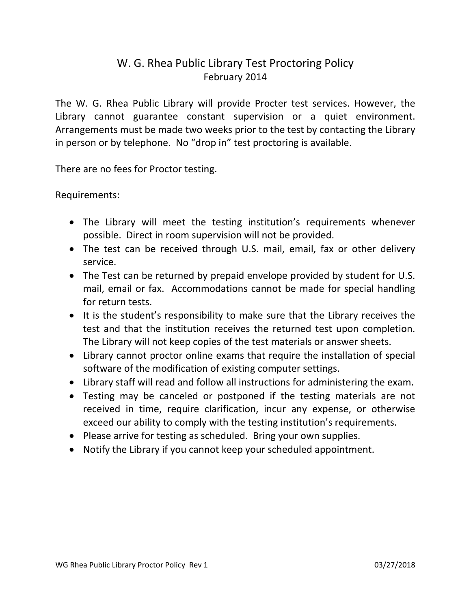## W. G. Rhea Public Library Test Proctoring Policy February 2014

The W. G. Rhea Public Library will provide Procter test services. However, the Library cannot guarantee constant supervision or a quiet environment. Arrangements must be made two weeks prior to the test by contacting the Library in person or by telephone. No "drop in" test proctoring is available.

There are no fees for Proctor testing.

## Requirements:

- The Library will meet the testing institution's requirements whenever possible. Direct in room supervision will not be provided.
- The test can be received through U.S. mail, email, fax or other delivery service.
- The Test can be returned by prepaid envelope provided by student for U.S. mail, email or fax. Accommodations cannot be made for special handling for return tests.
- It is the student's responsibility to make sure that the Library receives the test and that the institution receives the returned test upon completion. The Library will not keep copies of the test materials or answer sheets.
- Library cannot proctor online exams that require the installation of special software of the modification of existing computer settings.
- Library staff will read and follow all instructions for administering the exam.
- Testing may be canceled or postponed if the testing materials are not received in time, require clarification, incur any expense, or otherwise exceed our ability to comply with the testing institution's requirements.
- Please arrive for testing as scheduled. Bring your own supplies.
- Notify the Library if you cannot keep your scheduled appointment.